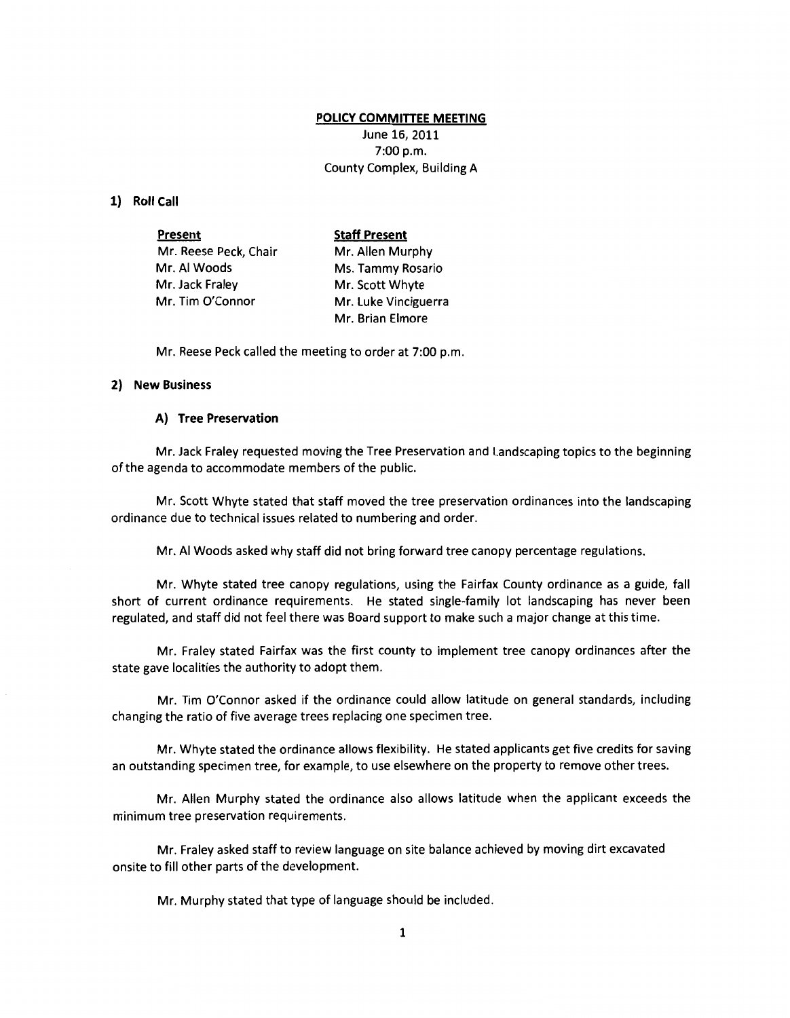# **POLICY COMMITTEE MEETING**

June 16, 2011 7:00 p.m. County Complex, Building A

#### **1) Roll Call**

| Present               | <b>Staff Present</b> |
|-----------------------|----------------------|
| Mr. Reese Peck, Chair | Mr. Allen Murphy     |
| Mr. Al Woods          | Ms. Tammy Rosario    |
| Mr. Jack Fraley       | Mr. Scott Whyte      |
| Mr. Tim O'Connor      | Mr. Luke Vinciguerra |
|                       | Mr. Brian Elmore     |

Mr. Reese Peck called the meeting to order at 7:00 p.m.

# **2) New Business**

# **A) Tree Preservation**

Mr. Jack Fraley requested moving the Tree Preservation and landscaping topics to the beginning of the agenda to accommodate members of the public.

Mr. Scott Whyte stated that staff moved the tree preservation ordinances into the landscaping ordinance due to technical issues related to numbering and order.

Mr. AI Woods asked why staff did not bring forward tree canopy percentage regulations.

Mr. Whyte stated tree canopy regulations, using the Fairfax County ordinance as a guide, fall short of current ordinance requirements. He stated single-family lot landscaping has never been regulated, and staff did not feel there was Board support to make such a major change at this time.

Mr. Fraley stated Fairfax was the first county to implement tree canopy ordinances after the state gave localities the authority to adopt them.

Mr. Tim O'Connor asked if the ordinance could allow latitude on general standards, including changing the ratio of five average trees replacing one specimen tree.

Mr. Whyte stated the ordinance allows flexibility. He stated applicants get five credits for saving an outstanding specimen tree, for example, to use elsewhere on the property to remove other trees.

Mr. Allen Murphy stated the ordinance also allows latitude when the applicant exceeds the minimum tree preservation requirements.

Mr. Fraley asked staff to review language on site balance achieved by moving dirt excavated onsite to fill other parts of the development.

Mr. Murphy stated that type of language should be included.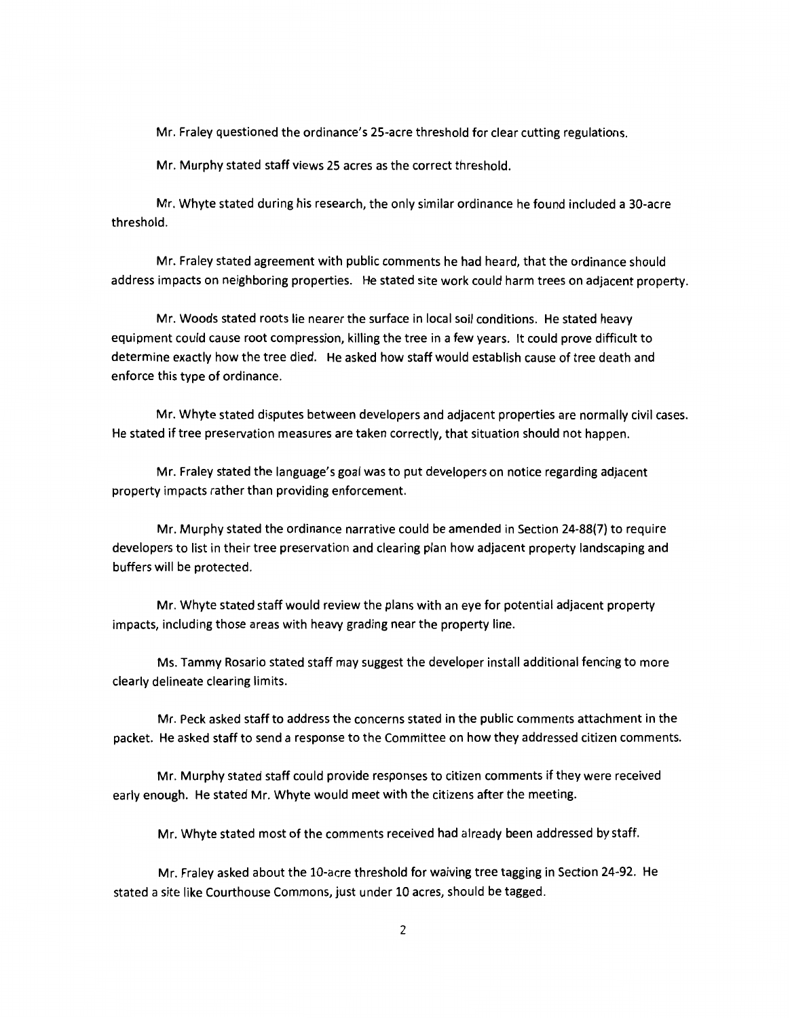Mr. Fraley questioned the ordinance's 25-acre threshold for clear cutting regulations.

Mr. Murphy stated staff views 25 acres as the correct threshold.

Mr. Whyte stated during his research, the only similar ordinance he found included a 30-acre threshold.

Mr. Fraley stated agreement with public comments he had heard, that the ordinance should address impacts on neighboring properties. He stated site work could harm trees on adjacent property.

Mr. Woods stated roots lie nearer the surface in local soil conditions. He stated heavy equipment could cause root compression, killing the tree in a few years. It could prove difficult to determine exactly how the tree died. He asked how staff would establish cause of tree death and enforce this type of ordinance.

Mr. Whyte stated disputes between developers and adjacent properties are normally civil cases. He stated if tree preservation measures are taken correctly, that situation should not happen.

Mr. Fraley stated the language's goal was to put developers on notice regarding adjacent property impacts rather than providing enforcement.

Mr. Murphy stated the ordinance narrative could be amended in Section 24-88(7) to require developers to list in their tree preservation and clearing plan how adjacent property landscaping and buffers will be protected.

Mr. Whyte stated staff would review the plans with an eye for potential adjacent property impacts, including those areas with heavy grading near the property line.

Ms. Tammy Rosario stated staff may suggest the developer install additional fencing to more clearly delineate clearing limits.

Mr. Peck asked staff to address the concerns stated in the public comments attachment in the packet. He asked staff to send a response to the Committee on how they addressed citizen comments.

Mr. Murphy stated staff could provide responses to citizen comments if they were received early enough. He stated Mr. Whyte would meet with the citizens after the meeting.

Mr. Whyte stated most of the comments received had already been addressed by staff.

Mr. Fraley asked about the 10-acre threshold for waiving tree tagging in Section 24-92. He stated a site like Courthouse Commons, just under 10 acres, should be tagged.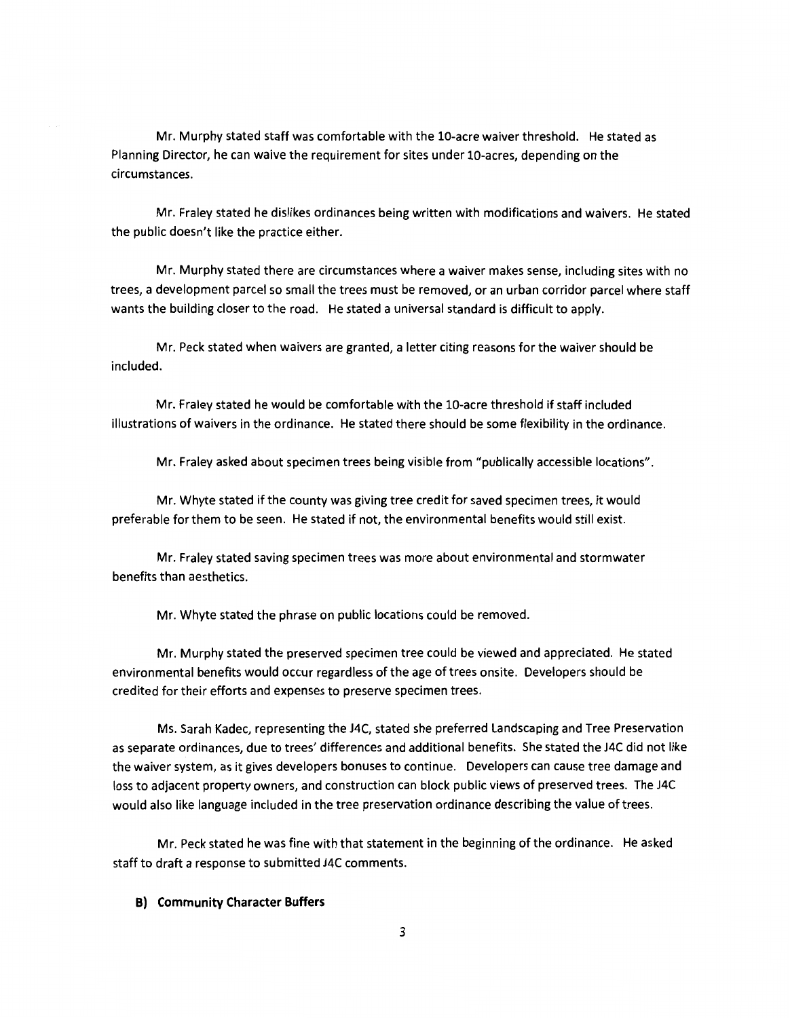Mr. Murphy stated staff was comfortable with the 10-acre waiver threshold. He stated as Planning Director, he can waive the requirement for sites under 10-acres, depending on the circumstances.

Mr. Fraley stated he dislikes ordinances being written with modifications and waivers. He stated the public doesn't like the practice either.

Mr. Murphy stated there are circumstances where a waiver makes sense, including sites with no trees, a development parcel so small the trees must be removed, or an urban corridor parcel where staff wants the building closer to the road. He stated a universal standard is difficult to apply.

Mr. Peck stated when waivers are granted, a letter citing reasons for the waiver should be included.

Mr. Fraley stated he would be comfortable with the 10-acre threshold if staff included illustrations of waivers in the ordinance. He stated there should be some flexibility in the ordinance.

Mr. Fraley asked about specimen trees being visible from "publically accessible locations".

Mr. Whyte stated if the county was giving tree credit for saved specimen trees, it would preferable for them to be seen. He stated if not, the environmental benefits would still exist.

Mr. Fraley stated saving specimen trees was more about environmental and stormwater benefits than aesthetics.

Mr. Whyte stated the phrase on public locations could be removed.

Mr. Murphy stated the preserved specimen tree could be viewed and appreciated. He stated environmental benefits would occur regardless of the age of trees onsite. Developers should be credited for their efforts and expenses to preserve specimen trees.

Ms. Sarah Kadec, representing the J4C, stated she preferred Landscaping and Tree Preservation as separate ordinances, due to trees' differences and additional benefits. She stated the J4C did not like the waiver system, as it gives developers bonuses to continue. Developers can cause tree damage and loss to adjacent property owners, and construction can block public views of preserved trees. The J4C would also like language included in the tree preservation ordinance describing the value of trees.

Mr. Peck stated he was fine with that statement in the beginning of the ordinance. He asked staff to draft a response to submitted J4C comments.

# **B) Community Character Buffers**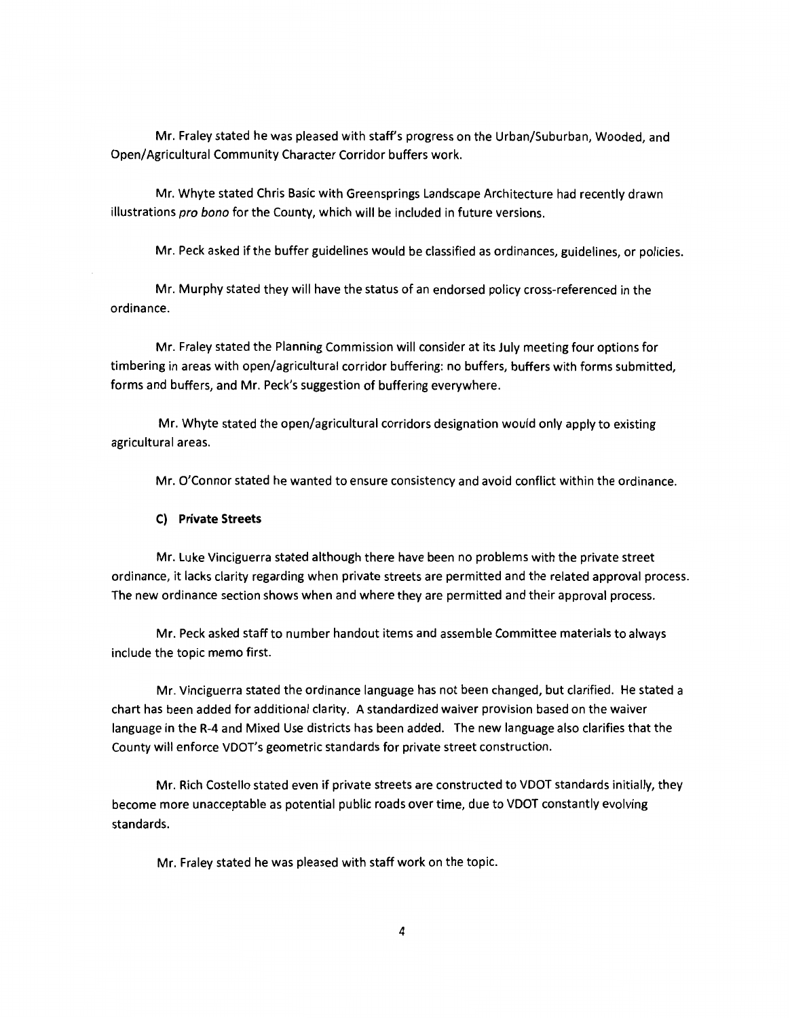Mr. Fraley stated he was pleased with staff's progress on the Urban/Suburban, Wooded, and Open/ Agricultural Community Character Corridor buffers work.

Mr. Whyte stated Chris Basic with Greensprings Landscape Architecture had recently drawn illustrations pro bono for the County, which will be included in future versions.

Mr. Peck asked if the buffer guidelines would be classified as ordinances, guidelines, or policies.

Mr. Murphy stated they will have the status of an endorsed policy cross-referenced in the ordinance.

Mr. Fraley stated the Planning Commission will consider at its July meeting four options for timbering in areas with open/agricultural corridor buffering: no buffers, buffers with forms submitted, forms and buffers, and Mr. Peck's suggestion of buffering everywhere.

Mr. Whyte stated the open/agricultural corridors designation would only apply to existing agricultural areas.

Mr. O'Connor stated he wanted to ensure consistency and avoid conflict within the ordinance.

#### **C) Private Streets**

Mr. Luke Vinciguerra stated although there have been no problems with the private street ordinance, it lacks clarity regarding when private streets are permitted and the related approval process. The new ordinance section shows when and where they are permitted and their approval process.

Mr. Peck asked staff to number handout items and assemble Committee materials to always include the topic memo first.

Mr. Vinciguerra stated the ordinance language has not been changed, but clarified. He stated a chart has been added for additional clarity. A standardized waiver provision based on the waiver language in the R-4 and Mixed Use districts has been added. The new language also clarifies that the County will enforce VDOT's geometric standards for private street construction.

Mr. Rich Costello stated even if private streets are constructed to VDOT standards initially, they become more unacceptable as potential public roads over time, due to VDOT constantly evolving standards.

Mr. Fraley stated he was pleased with staff work on the topic.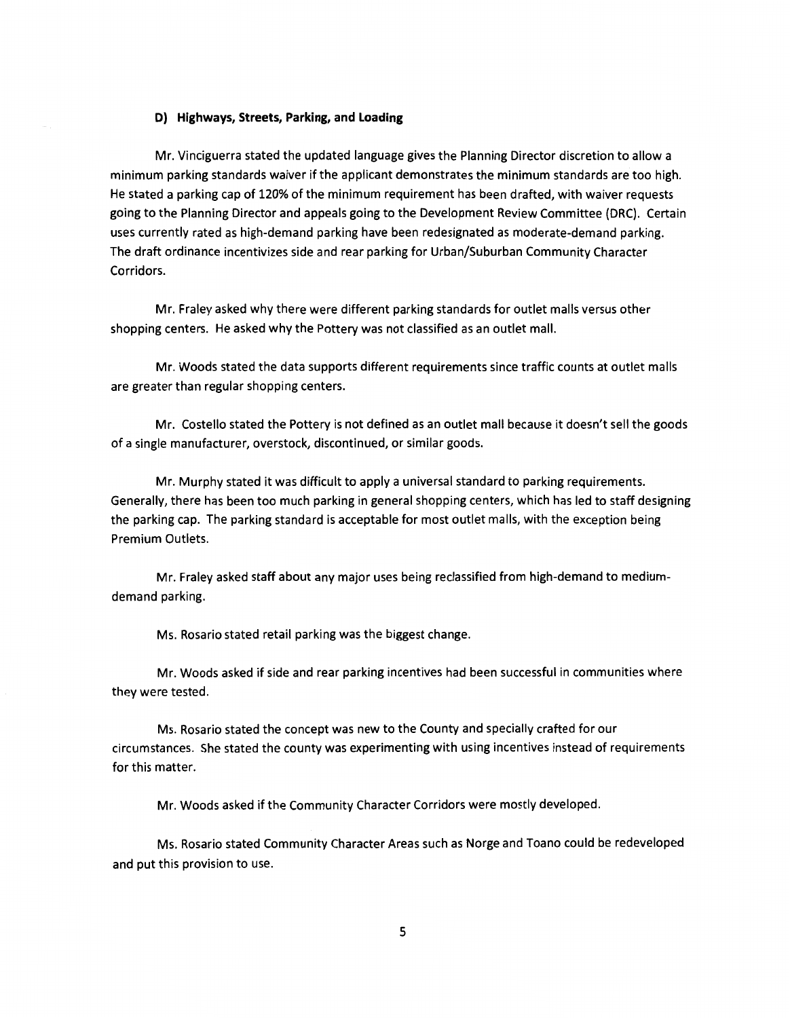### **D) Highways, Streets, Parking, and Loading**

Mr. Vinciguerra stated the updated language gives the Planning Director discretion to allow a minimum parking standards waiver if the applicant demonstrates the minimum standards are too high. He stated a parking cap of 120% of the minimum requirement has been drafted, with waiver requests going to the Planning Director and appeals going to the Development Review Committee (DRC). Certain uses currently rated as high-demand parking have been redesignated as moderate-demand parking. The draft ordinance incentivizes side and rear parking for Urban/Suburban Community Character Corridors.

Mr. Fraley asked why there were different parking standards for outlet malls versus other shopping centers. He asked why the Pottery was not classified as an outlet mall.

Mr. Woods stated the data supports different requirements since traffic counts at outlet malls are greater than regular shopping centers.

Mr. Costello stated the Pottery is not defined as an outlet mall because it doesn't sell the goods of a single manufacturer, overstock, discontinued, or similar goods.

Mr. Murphy stated it was difficult to apply a universal standard to parking requirements. Generally, there has been too much parking in general shopping centers, which has led to staff designing the parking cap. The parking standard is acceptable for most outlet malls, with the exception being Premium Outlets.

Mr. Fraley asked staff about any major uses being reclassified from high-demand to mediumdemand parking.

Ms. Rosario stated retail parking was the biggest change.

Mr. Woods asked if side and rear parking incentives had been successful in communities where they were tested.

Ms. Rosario stated the concept was new to the County and specially crafted for our circumstances. She stated the county was experimenting with using incentives instead of requirements for this matter.

Mr. Woods asked if the Community Character Corridors were mostly developed.

Ms. Rosario stated Community Character Areas such as Norge and Toano could be redeveloped and put this provision to use.